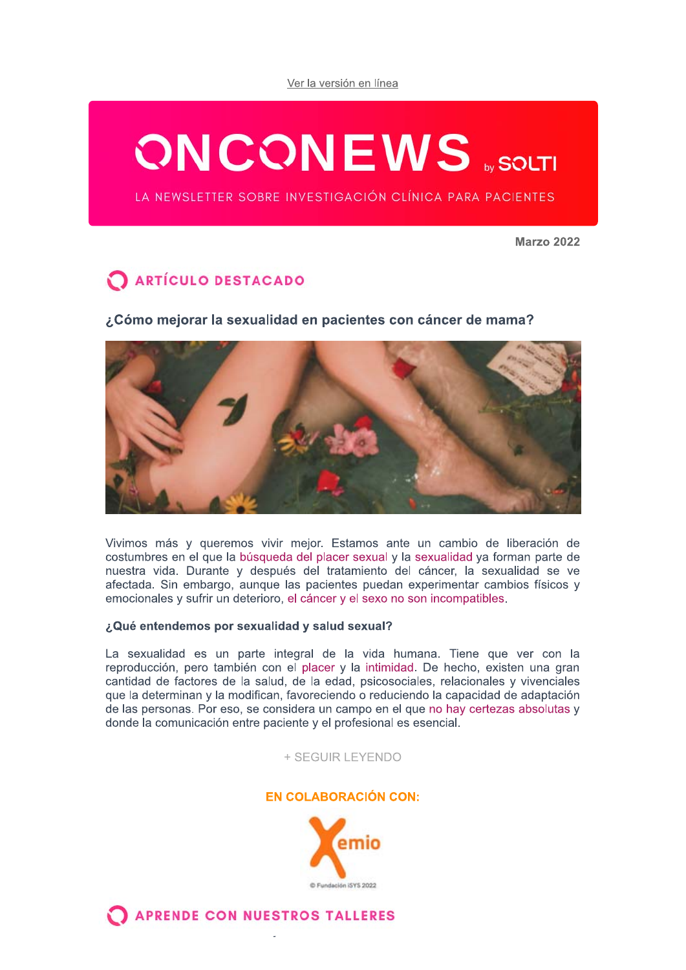Ver la versión en línea

# **ONCONEWS SOLTI**

LA NEWSLETTER SOBRE INVESTIGACIÓN CLÍNICA PARA PACIENTES

**Marzo 2022** 

# ARTÍCULO DESTACADO

¿Cómo mejorar la sexualidad en pacientes con cáncer de mama?



Vivimos más y queremos vivir mejor. Estamos ante un cambio de liberación de costumbres en el que la búsqueda del placer sexual y la sexualidad ya forman parte de nuestra vida. Durante y después del tratamiento del cáncer, la sexualidad se ve afectada. Sin embargo, aunque las pacientes puedan experimentar cambios físicos y emocionales y sufrir un deterioro, el cáncer y el sexo no son incompatibles.

#### ¿Qué entendemos por sexualidad y salud sexual?

La sexualidad es un parte integral de la vida humana. Tiene que ver con la reproducción, pero también con el placer y la intimidad. De hecho, existen una gran cantidad de factores de la salud, de la edad, psicosociales, relacionales y vivenciales que la determinan y la modifican, favoreciendo o reduciendo la capacidad de adaptación de las personas. Por eso, se considera un campo en el que no hay certezas absolutas y donde la comunicación entre paciente y el profesional es esencial.

#### + SEGUIR LEYENDO

### **EN COLABORACIÓN CON:**



**APRENDE CON NUESTROS TALLERES**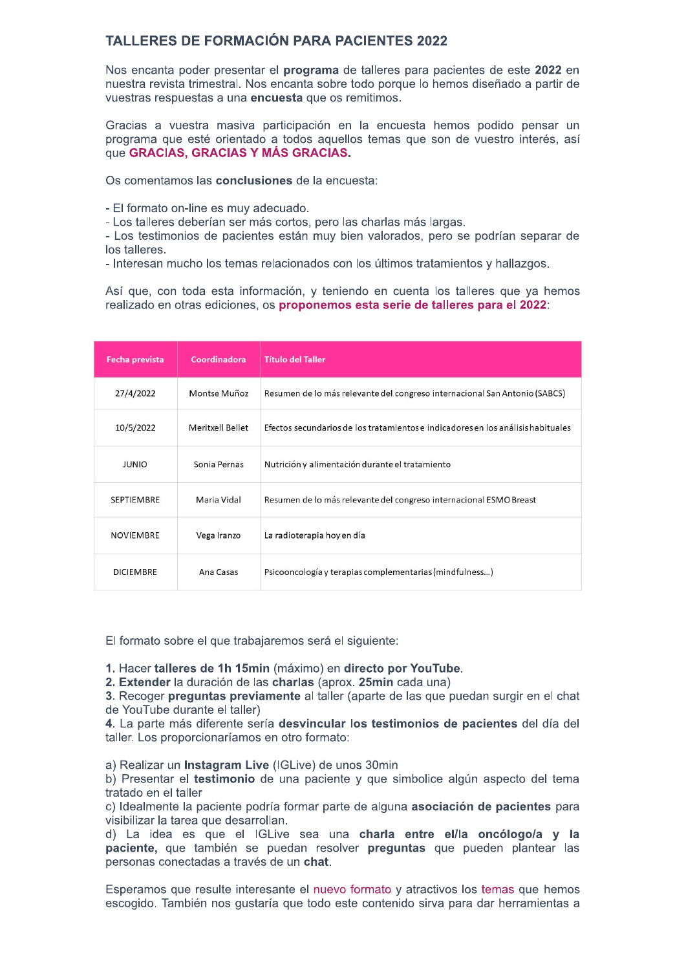## **TALLERES DE FORMACIÓN PARA PACIENTES 2022**

Nos encanta poder presentar el programa de talleres para pacientes de este 2022 en nuestra revista trimestral. Nos encanta sobre todo porque lo hemos diseñado a partir de vuestras respuestas a una encuesta que os remitimos.

Gracias a vuestra masiva participación en la encuesta hemos podido pensar un programa que esté orientado a todos aquellos temas que son de vuestro interés, así que GRACIAS, GRACIAS Y MÁS GRACIAS.

Os comentamos las conclusiones de la encuesta:

- El formato on-line es muy adecuado.

- Los talleres deberían ser más cortos, pero las charlas más largas.

- Los testimonios de pacientes están muy bien valorados, pero se podrían separar de los talleres.

- Interesan mucho los temas relacionados con los últimos tratamientos y hallazgos.

Así que, con toda esta información, y teniendo en cuenta los talleres que ya hemos realizado en otras ediciones, os proponemos esta serie de talleres para el 2022:

| <b>Fecha prevista</b> | Coordinadora     | <b>Título del Taller</b>                                                         |
|-----------------------|------------------|----------------------------------------------------------------------------------|
| 27/4/2022             | Montse Muñoz     | Resumen de lo más relevante del congreso internacional San Antonio (SABCS)       |
| 10/5/2022             | Meritxell Bellet | Efectos secundarios de los tratamientos e indicadores en los análisis habituales |
| <b>JUNIO</b>          | Sonia Pernas     | Nutrición y alimentación durante el tratamiento                                  |
| <b>SEPTIEMBRE</b>     | Maria Vidal      | Resumen de lo más relevante del congreso internacional ESMO Breast               |
| <b>NOVIEMBRE</b>      | Vega Iranzo      | La radioterapia hoy en día                                                       |
| <b>DICIEMBRE</b>      | Ana Casas        | Psicooncología y terapias complementarias (mindfulness)                          |

El formato sobre el que trabajaremos será el siguiente:

1. Hacer talleres de 1h 15min (máximo) en directo por YouTube.

2. Extender la duración de las charlas (aprox. 25min cada una)

3. Recoger preguntas previamente al taller (aparte de las que puedan surgir en el chat de YouTube durante el taller)

4. La parte más diferente sería desvincular los testimonios de pacientes del día del taller. Los proporcionaríamos en otro formato:

a) Realizar un Instagram Live (IGLive) de unos 30min

b) Presentar el testimonio de una paciente y que simbolice algún aspecto del tema tratado en el taller

c) Idealmente la paciente podría formar parte de alguna asociación de pacientes para visibilizar la tarea que desarrollan.

d) La idea es que el IGLive sea una charla entre el/la oncólogo/a y la paciente, que también se puedan resolver preguntas que pueden plantear las personas conectadas a través de un chat.

Esperamos que resulte interesante el nuevo formato y atractivos los temas que hemos escogido. También nos qustaría que todo este contenido sirva para dar herramientas a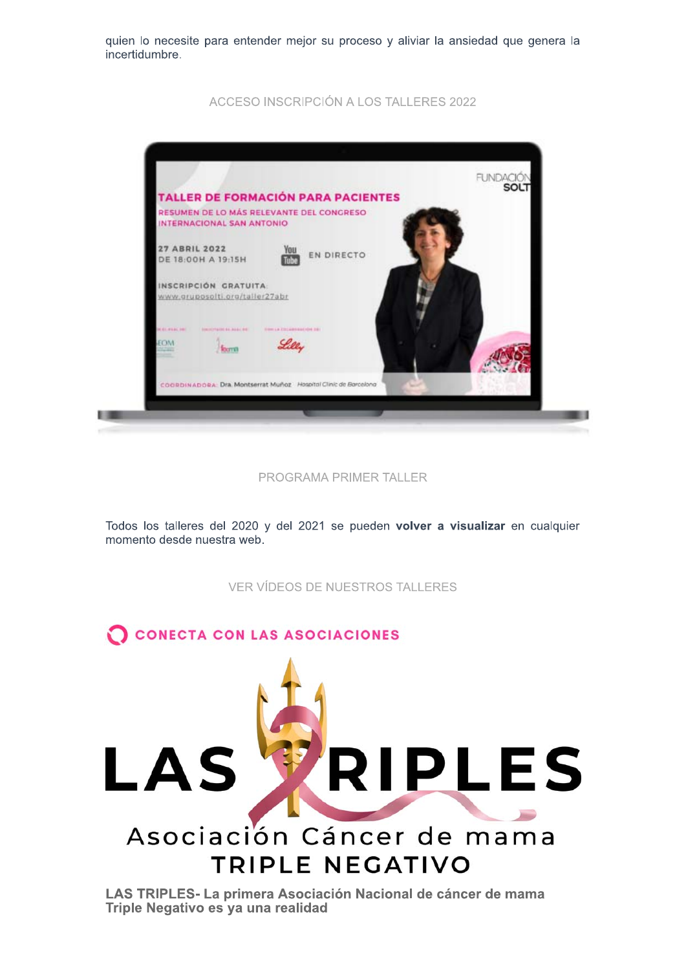quien lo necesite para entender mejor su proceso y aliviar la ansiedad que genera la incertidumbre.

ACCESO INSCRIPCIÓN A LOS TALLERES 2022



PROGRAMA PRIMER TALLER

Todos los talleres del 2020 y del 2021 se pueden volver a visualizar en cualquier momento desde nuestra web.

**VER VÍDEOS DE NUESTROS TALLERES** 

CONECTA CON LAS ASOCIACIONES **RIPLES** LAS Asociación Cáncer de mama **TRIPLE NEGATIVO** 

LAS TRIPLES- La primera Asociación Nacional de cáncer de mama Triple Negativo es ya una realidad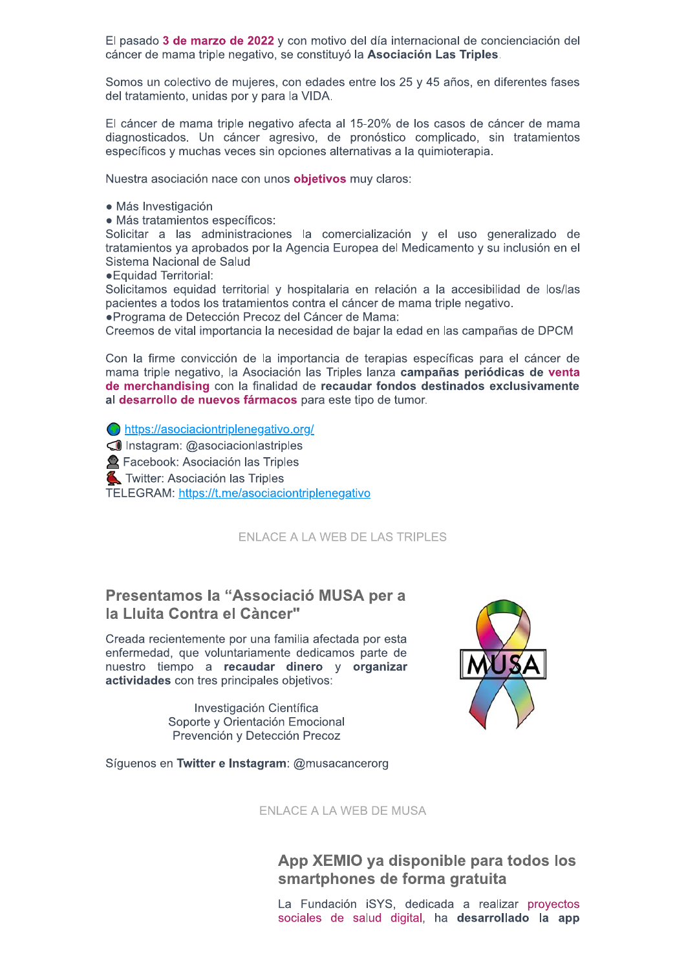El pasado 3 de marzo de 2022 y con motivo del día internacional de concienciación del cáncer de mama triple negativo, se constituyó la Asociación Las Triples.

Somos un colectivo de mujeres, con edades entre los 25 y 45 años, en diferentes fases del tratamiento, unidas por y para la VIDA.

El cáncer de mama triple negativo afecta al 15-20% de los casos de cáncer de mama diagnosticados. Un cáncer agresivo, de pronóstico complicado, sin tratamientos específicos y muchas veces sin opciones alternativas a la quimioterapia.

Nuestra asociación nace con unos **objetivos** muy claros:

- · Más Investigación
- · Más tratamientos específicos:

Solicitar a las administraciones la comercialización y el uso generalizado de tratamientos ya aprobados por la Agencia Europea del Medicamento y su inclusión en el Sistema Nacional de Salud

· Equidad Territorial:

Solicitamos equidad territorial y hospitalaria en relación a la accesibilidad de los/las pacientes a todos los tratamientos contra el cáncer de mama triple negativo.

·Programa de Detección Precoz del Cáncer de Mama:

Creemos de vital importancia la necesidad de bajar la edad en las campañas de DPCM

Con la firme convicción de la importancia de terapias específicas para el cáncer de mama triple negativo, la Asociación las Triples lanza campañas periódicas de venta de merchandising con la finalidad de recaudar fondos destinados exclusivamente al desarrollo de nuevos fármacos para este tipo de tumor.

https://asociaciontriplenegativo.org/

Instagram: @asociacionlastriples

**2** Facebook: Asociación las Triples

Twitter: Asociación las Triples

TELEGRAM: https://t.me/asociaciontriplenegativo

ENLACE A LA WEB DE LAS TRIPLES

# Presentamos la "Associació MUSA per a la Lluita Contra el Càncer"

Creada recientemente por una familia afectada por esta enfermedad, que voluntariamente dedicamos parte de nuestro tiempo a recaudar dinero y organizar actividades con tres principales objetivos:

> Investigación Científica Soporte y Orientación Emocional Prevención y Detección Precoz



Síquenos en Twitter e Instagram: @musacancerorg

**ENLACE A LA WEB DE MUSA** 

App XEMIO ya disponible para todos los smartphones de forma gratuita

La Fundación iSYS, dedicada a realizar proyectos sociales de salud digital, ha desarrollado la app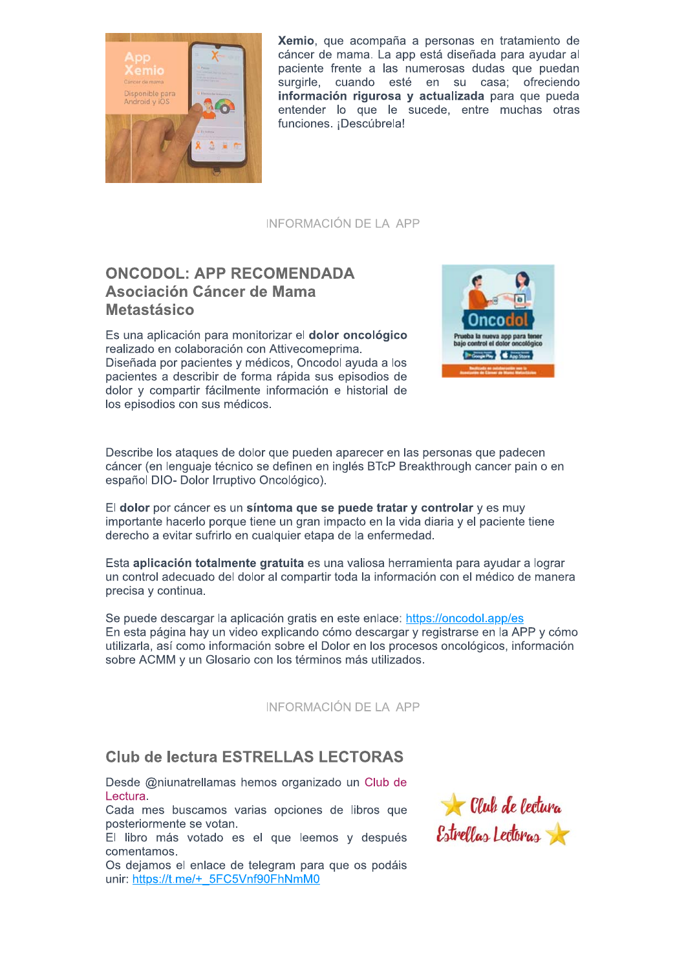

Xemio, que acompaña a personas en tratamiento de cáncer de mama. La app está diseñada para ayudar al paciente frente a las numerosas dudas que puedan surgirle, cuando esté en su casa; ofreciendo información rigurosa y actualizada para que pueda entender lo que le sucede, entre muchas otras funciones. ¡Descúbrela!

INFORMACIÓN DE LA APP

# **ONCODOL: APP RECOMENDADA** Asociación Cáncer de Mama **Metastásico**

Es una aplicación para monitorizar el dolor oncológico realizado en colaboración con Attivecomeprima. Diseñada por pacientes y médicos. Oncodol avuda a los pacientes a describir de forma rápida sus episodios de dolor y compartir fácilmente información e historial de los episodios con sus médicos.



Describe los ataques de dolor que pueden aparecer en las personas que padecen cáncer (en lenguaje técnico se definen en inglés BTcP Breakthrough cancer pain o en español DIO- Dolor Irruptivo Oncológico).

El dolor por cáncer es un síntoma que se puede tratar y controlar y es muy importante hacerlo porque tiene un gran impacto en la vida diaria y el paciente tiene derecho a evitar sufrirlo en cualquier etapa de la enfermedad.

Esta aplicación totalmente gratuita es una valiosa herramienta para avudar a lograr un control adecuado del dolor al compartir toda la información con el médico de manera precisa y continua.

Se puede descargar la aplicación gratis en este enlace: https://oncodol.app/es En esta página hay un video explicando cómo descargar y registrarse en la APP y cómo utilizarla, así como información sobre el Dolor en los procesos oncológicos, información sobre ACMM y un Glosario con los términos más utilizados.

**INFORMACIÓN DE LA APP** 

# **Club de lectura ESTRELLAS LECTORAS**

Desde @niunatrellamas hemos organizado un Club de Lectura.

Cada mes buscamos varias opciones de libros que posteriormente se votan.

El libro más votado es el que leemos y después comentamos.

Os dejamos el enlace de telegram para que os podáis unir: https://t.me/+ 5FC5Vnf90FhNmM0

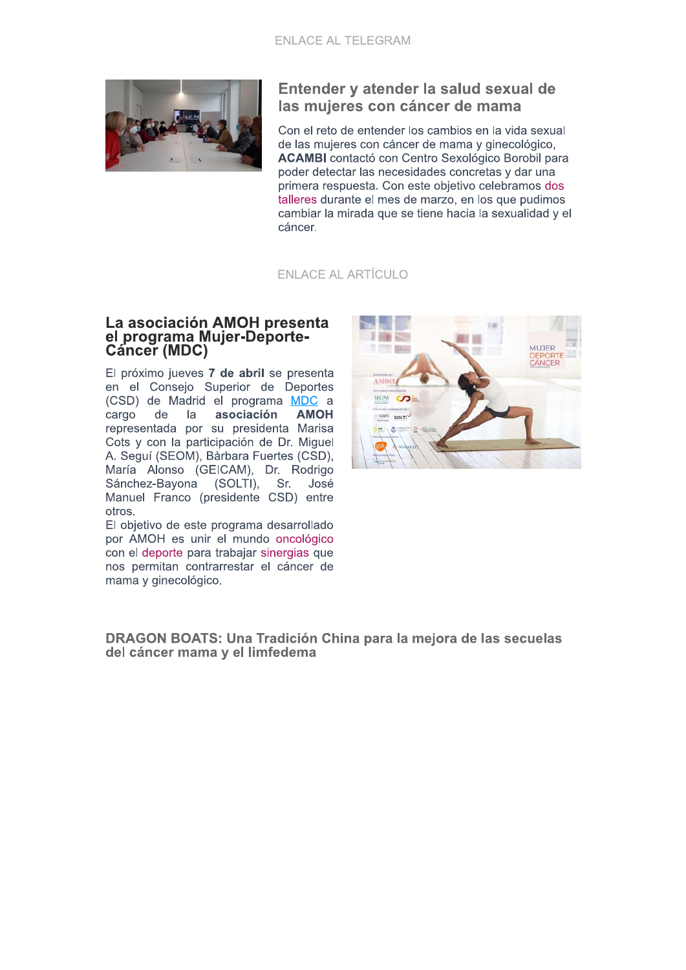

## Entender y atender la salud sexual de las mujeres con cáncer de mama

Con el reto de entender los cambios en la vida sexual de las mujeres con cáncer de mama y ginecológico, **ACAMBI** contactó con Centro Sexológico Borobil para poder detectar las necesidades concretas y dar una primera respuesta. Con este objetivo celebramos dos talleres durante el mes de marzo, en los que pudimos cambiar la mirada que se tiene hacia la sexualidad y el cáncer.

**ENLACE AL ARTÍCULO** 

#### La asociación AMOH presenta el programa Mujer-Deporte-**Cáncer (MDC)**

El próximo jueves 7 de abril se presenta en el Consejo Superior de Deportes (CSD) de Madrid el programa MDC a cargo  $de$  $|a|$ asociación **AMOH** representada por su presidenta Marisa Cots y con la participación de Dr. Miguel A. Seguí (SEOM), Bàrbara Fuertes (CSD), María Alonso (GEICAM), Dr. Rodrigo Sánchez-Bayona (SOLTI), Sr. José Manuel Franco (presidente CSD) entre otros.

El objetivo de este programa desarrollado por AMOH es unir el mundo oncológico con el deporte para trabajar sinergias que nos permitan contrarrestar el cáncer de mama y ginecológico.



DRAGON BOATS: Una Tradición China para la meiora de las secuelas del cáncer mama y el limfedema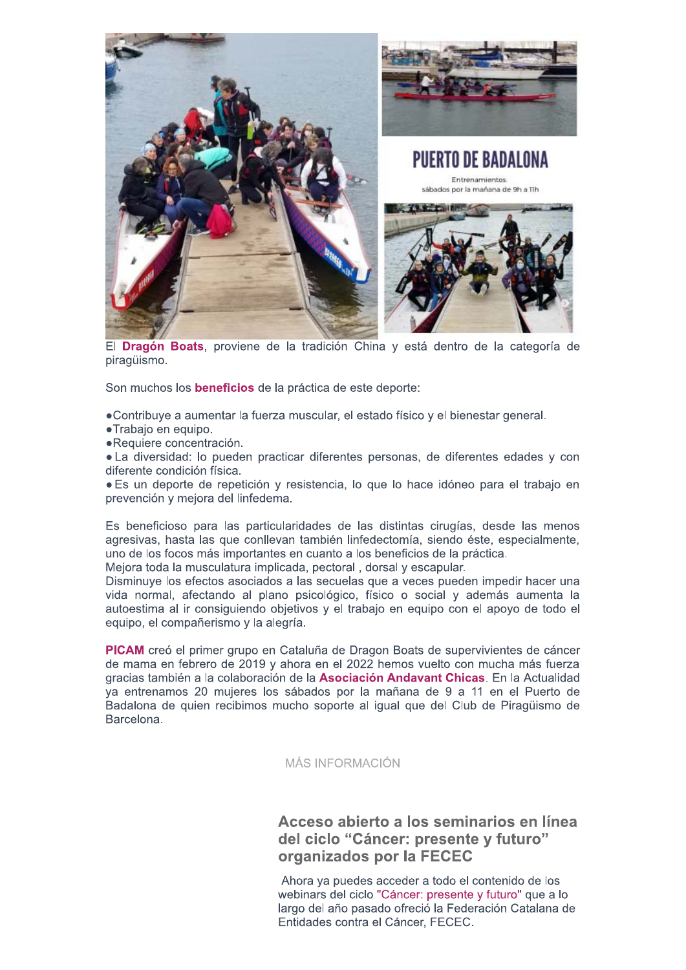

El Dragón Boats, proviene de la tradición China y está dentro de la categoría de piragüismo.

Son muchos los **beneficios** de la práctica de este deporte:

•Contribuye a aumentar la fuerza muscular, el estado físico y el bienestar general.

- ·Trabajo en equipo.
- ·Requiere concentración.

• La diversidad: lo pueden practicar diferentes personas, de diferentes edades y con diferente condición física.

• Es un deporte de repetición y resistencia, lo que lo hace idóneo para el trabajo en prevención y mejora del linfedema.

Es beneficioso para las particularidades de las distintas cirugías, desde las menos agresivas, hasta las que conllevan también linfedectomía, siendo éste, especialmente, uno de los focos más importantes en cuanto a los beneficios de la práctica.

Mejora toda la musculatura implicada, pectoral, dorsal y escapular.

Disminuye los efectos asociados a las secuelas que a veces pueden impedir hacer una vida normal, afectando al plano psicológico, físico o social y además aumenta la autoestima al ir consiguiendo objetivos y el trabajo en equipo con el apoyo de todo el equipo, el compañerismo y la alegría.

PICAM creó el primer grupo en Cataluña de Dragon Boats de supervivientes de cáncer de mama en febrero de 2019 y ahora en el 2022 hemos vuelto con mucha más fuerza gracias también a la colaboración de la Asociación Andavant Chicas. En la Actualidad va entrenamos 20 mujeres los sábados por la mañana de 9 a 11 en el Puerto de Badalona de quien recibimos mucho soporte al igual que del Club de Piragüismo de Barcelona.

#### MÁS INFORMACIÓN

# Acceso abierto a los seminarios en línea del ciclo "Cáncer: presente y futuro" organizados por la FECEC

Ahora va puedes acceder a todo el contenido de los webinars del ciclo "Cáncer: presente y futuro" que a lo largo del año pasado ofreció la Federación Catalana de Entidades contra el Cáncer, FECEC.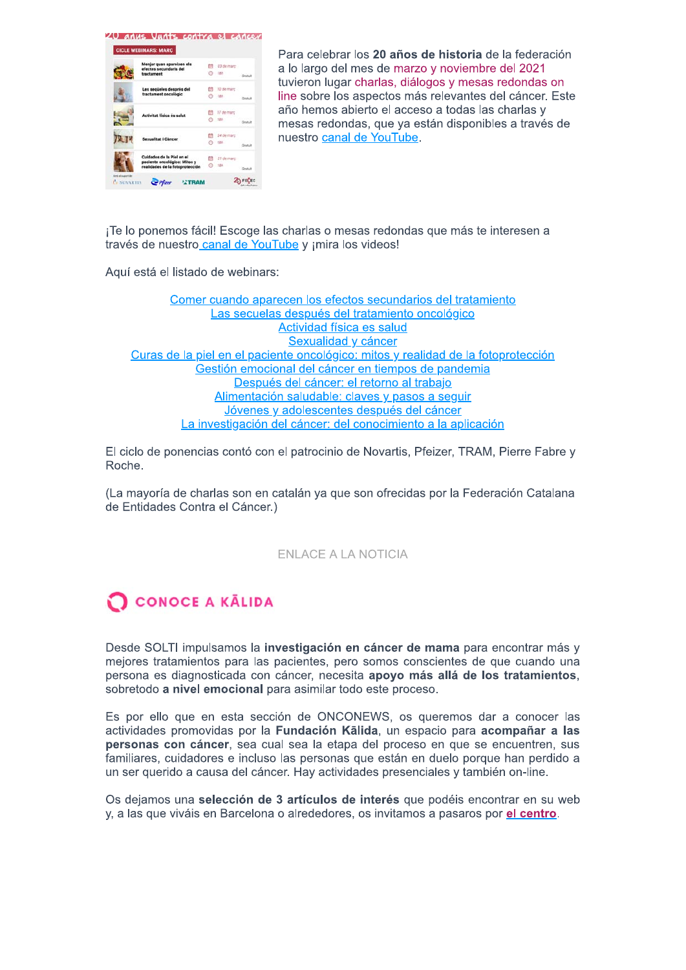1) anus Uunts contra el càncer

|  | Menjar quan apareixen els<br>efectes secundaris del                                          |         | 03 de marc  |         |
|--|----------------------------------------------------------------------------------------------|---------|-------------|---------|
|  | tractament                                                                                   | $\odot$ | $-7.8h$     | Gratuit |
|  | Les sequeles després del                                                                     |         | 10 de març  |         |
|  | tractament oncològic                                                                         | $\circ$ | .18h        | Gratuit |
|  | Activitat física és salut                                                                    |         | 17 de març  |         |
|  |                                                                                              |         | <b>① 1助</b> | Gratuit |
|  | <b>Sexualitat i Càncer</b>                                                                   |         | 24 de març  |         |
|  |                                                                                              | m       | 18h         | Gratuit |
|  | Cuidados de la Piel en el<br>paciente oncológico: Mitos y<br>realidades de la fotoprotección |         | 31 de.marc  |         |
|  |                                                                                              |         | 18h         | Gratuit |

Para celebrar los 20 años de historia de la federación a lo largo del mes de marzo y noviembre del 2021 tuvieron lugar charlas, diálogos y mesas redondas on line sobre los aspectos más relevantes del cáncer. Este año hemos abierto el acceso a todas las charlas y mesas redondas, que va están disponibles a través de nuestro canal de YouTube.

¡Te lo ponemos fácil! Escoge las charlas o mesas redondas que más te interesen a través de nuestro canal de YouTube y ¡mira los videos!

Aquí está el listado de webinars:

Comer cuando aparecen los efectos secundarios del tratamiento Las secuelas después del tratamiento oncológico Actividad física es salud Sexualidad y cáncer Curas de la piel en el paciente oncológico: mitos y realidad de la fotoprotección Gestión emocional del cáncer en tiempos de pandemia Después del cáncer: el retorno al trabajo Alimentación saludable: claves y pasos a seguir Jóvenes y adolescentes después del cáncer La investigación del cáncer: del conocimiento a la aplicación

El ciclo de ponencias contó con el patrocinio de Novartis, Pfeizer, TRAM, Pierre Fabre y Roche.

(La mayoría de charlas son en catalán ya que son ofrecidas por la Federación Catalana de Entidades Contra el Cáncer.)

#### **ENLACE A LA NOTICIA**

# **O CONOCE A KALIDA**

Desde SOLTI impulsamos la investigación en cáncer de mama para encontrar más y mejores tratamientos para las pacientes, pero somos conscientes de que cuando una persona es diagnosticada con cáncer, necesita apovo más allá de los tratamientos. sobretodo a nivel emocional para asimilar todo este proceso.

Es por ello que en esta sección de ONCONEWS, os queremos dar a conocer las actividades promovidas por la Fundación Kalida, un espacio para acompañar a las personas con cáncer, sea cual sea la etapa del proceso en que se encuentren, sus familiares, cuidadores e incluso las personas que están en duelo porque han perdido a un ser querido a causa del cáncer. Hay actividades presenciales y también on-line.

Os dejamos una selección de 3 artículos de interés que podéis encontrar en su web y, a las que viváis en Barcelona o alrededores, os invitamos a pasaros por el centro.